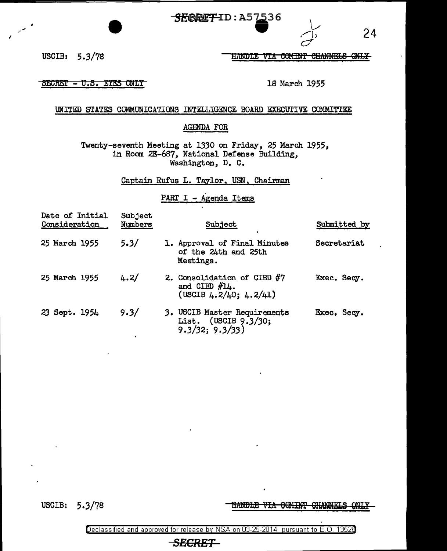SERRET-ID: A57536



USCIB: 5.3/78 HANDLE VIA COMINT CHANNELS ONLY

SECRET - U.S. EYES ONLY

18 March 1955

UNITED STATES COMMUNICATIONS INTELLIGENCE BOARD EXECUTIVE COMMITTEE

## AGENDA FOR

Twenty-seventh Meeting at 1330 on Friday, 25 March 1955, in Room 2E-687, National Defense Building, Washington, D. C.

Captain Rufus 1. Taylor, USN, Chairman

PART I - Agenda Items

| Date of Initial<br>Consideration | Subject<br>Numbers | Subject                                                                         | Submitted by |
|----------------------------------|--------------------|---------------------------------------------------------------------------------|--------------|
| 25 March 1955                    | 5.3/               | 1. Approval of Final Minutes<br>of the 24th and 25th<br>Meetings.               | Secretariat  |
| 25 March 1955                    | 4.2/               | 2. Consolidation of CIBD #7<br>and CIBD $#14$ .<br>(USCIB $4.2/40$ ; $4.2/41$ ) | Exec. Secy.  |
| 23 Sept. 1954                    | 9.3/               | 3. USCIB Master Requirements<br>List. (USCIB 9.3/30;<br>9.3/32; 9.3/33)         | Exec. Secy.  |

USCIB: 5.3/78

**HANDLE VIA GOMINT CHANNELS ONLY** 

24